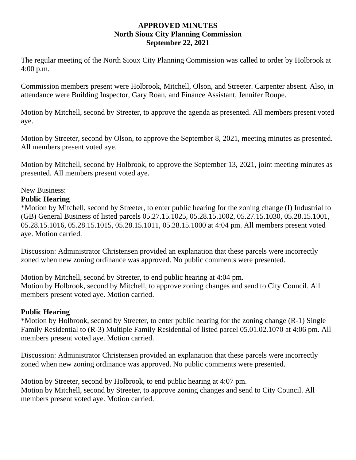#### **APPROVED MINUTES North Sioux City Planning Commission September 22, 2021**

The regular meeting of the North Sioux City Planning Commission was called to order by Holbrook at 4:00 p.m.

Commission members present were Holbrook, Mitchell, Olson, and Streeter. Carpenter absent. Also, in attendance were Building Inspector, Gary Roan, and Finance Assistant, Jennifer Roupe.

Motion by Mitchell, second by Streeter, to approve the agenda as presented. All members present voted aye.

Motion by Streeter, second by Olson, to approve the September 8, 2021, meeting minutes as presented. All members present voted aye.

Motion by Mitchell, second by Holbrook, to approve the September 13, 2021, joint meeting minutes as presented. All members present voted aye.

# New Business:

# **Public Hearing**

\*Motion by Mitchell, second by Streeter, to enter public hearing for the zoning change (I) Industrial to (GB) General Business of listed parcels 05.27.15.1025, 05.28.15.1002, 05.27.15.1030, 05.28.15.1001, 05.28.15.1016, 05.28.15.1015, 05.28.15.1011, 05.28.15.1000 at 4:04 pm. All members present voted aye. Motion carried.

Discussion: Administrator Christensen provided an explanation that these parcels were incorrectly zoned when new zoning ordinance was approved. No public comments were presented.

Motion by Mitchell, second by Streeter, to end public hearing at 4:04 pm. Motion by Holbrook, second by Mitchell, to approve zoning changes and send to City Council. All members present voted aye. Motion carried.

### **Public Hearing**

\*Motion by Holbrook, second by Streeter, to enter public hearing for the zoning change (R-1) Single Family Residential to (R-3) Multiple Family Residential of listed parcel 05.01.02.1070 at 4:06 pm. All members present voted aye. Motion carried.

Discussion: Administrator Christensen provided an explanation that these parcels were incorrectly zoned when new zoning ordinance was approved. No public comments were presented.

Motion by Streeter, second by Holbrook, to end public hearing at 4:07 pm. Motion by Mitchell, second by Streeter, to approve zoning changes and send to City Council. All members present voted aye. Motion carried.